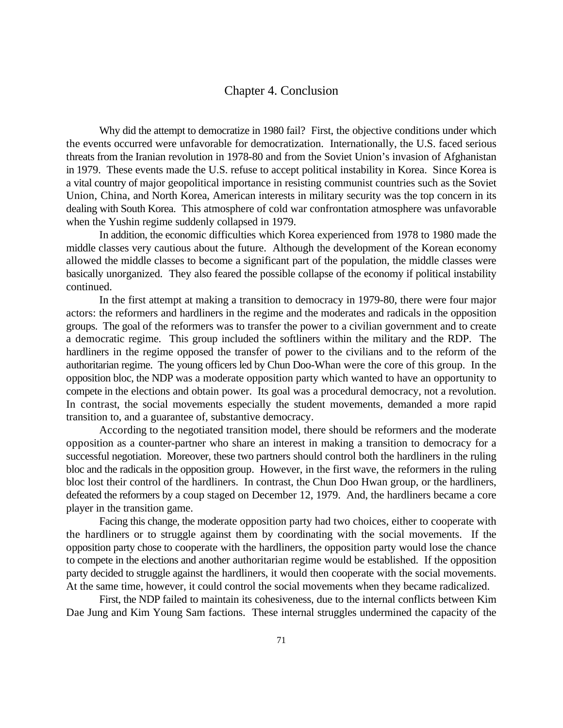## Chapter 4. Conclusion

Why did the attempt to democratize in 1980 fail? First, the objective conditions under which the events occurred were unfavorable for democratization. Internationally, the U.S. faced serious threats from the Iranian revolution in 1978-80 and from the Soviet Union's invasion of Afghanistan in 1979. These events made the U.S. refuse to accept political instability in Korea. Since Korea is a vital country of major geopolitical importance in resisting communist countries such as the Soviet Union, China, and North Korea, American interests in military security was the top concern in its dealing with South Korea. This atmosphere of cold war confrontation atmosphere was unfavorable when the Yushin regime suddenly collapsed in 1979.

In addition, the economic difficulties which Korea experienced from 1978 to 1980 made the middle classes very cautious about the future. Although the development of the Korean economy allowed the middle classes to become a significant part of the population, the middle classes were basically unorganized. They also feared the possible collapse of the economy if political instability continued.

In the first attempt at making a transition to democracy in 1979-80, there were four major actors: the reformers and hardliners in the regime and the moderates and radicals in the opposition groups. The goal of the reformers was to transfer the power to a civilian government and to create a democratic regime. This group included the softliners within the military and the RDP. The hardliners in the regime opposed the transfer of power to the civilians and to the reform of the authoritarian regime. The young officers led by Chun Doo-Whan were the core of this group. In the opposition bloc, the NDP was a moderate opposition party which wanted to have an opportunity to compete in the elections and obtain power. Its goal was a procedural democracy, not a revolution. In contrast, the social movements especially the student movements, demanded a more rapid transition to, and a guarantee of, substantive democracy.

According to the negotiated transition model, there should be reformers and the moderate opposition as a counter-partner who share an interest in making a transition to democracy for a successful negotiation. Moreover, these two partners should control both the hardliners in the ruling bloc and the radicals in the opposition group. However, in the first wave, the reformers in the ruling bloc lost their control of the hardliners. In contrast, the Chun Doo Hwan group, or the hardliners, defeated the reformers by a coup staged on December 12, 1979. And, the hardliners became a core player in the transition game.

Facing this change, the moderate opposition party had two choices, either to cooperate with the hardliners or to struggle against them by coordinating with the social movements. If the opposition party chose to cooperate with the hardliners, the opposition party would lose the chance to compete in the elections and another authoritarian regime would be established. If the opposition party decided to struggle against the hardliners, it would then cooperate with the social movements. At the same time, however, it could control the social movements when they became radicalized.

First, the NDP failed to maintain its cohesiveness, due to the internal conflicts between Kim Dae Jung and Kim Young Sam factions. These internal struggles undermined the capacity of the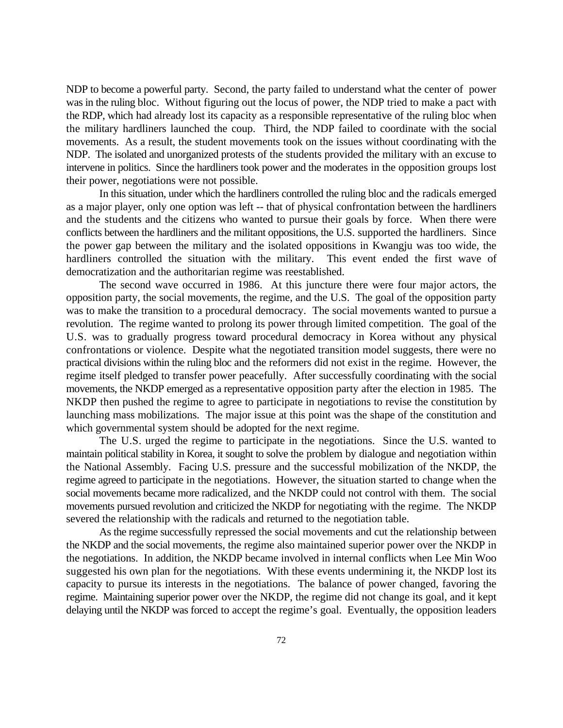NDP to become a powerful party. Second, the party failed to understand what the center of power was in the ruling bloc. Without figuring out the locus of power, the NDP tried to make a pact with the RDP, which had already lost its capacity as a responsible representative of the ruling bloc when the military hardliners launched the coup. Third, the NDP failed to coordinate with the social movements. As a result, the student movements took on the issues without coordinating with the NDP. The isolated and unorganized protests of the students provided the military with an excuse to intervene in politics. Since the hardliners took power and the moderates in the opposition groups lost their power, negotiations were not possible.

In this situation, under which the hardliners controlled the ruling bloc and the radicals emerged as a major player, only one option was left -- that of physical confrontation between the hardliners and the students and the citizens who wanted to pursue their goals by force. When there were conflicts between the hardliners and the militant oppositions, the U.S. supported the hardliners. Since the power gap between the military and the isolated oppositions in Kwangju was too wide, the hardliners controlled the situation with the military. This event ended the first wave of democratization and the authoritarian regime was reestablished.

The second wave occurred in 1986. At this juncture there were four major actors, the opposition party, the social movements, the regime, and the U.S. The goal of the opposition party was to make the transition to a procedural democracy. The social movements wanted to pursue a revolution. The regime wanted to prolong its power through limited competition. The goal of the U.S. was to gradually progress toward procedural democracy in Korea without any physical confrontations or violence. Despite what the negotiated transition model suggests, there were no practical divisions within the ruling bloc and the reformers did not exist in the regime. However, the regime itself pledged to transfer power peacefully. After successfully coordinating with the social movements, the NKDP emerged as a representative opposition party after the election in 1985. The NKDP then pushed the regime to agree to participate in negotiations to revise the constitution by launching mass mobilizations. The major issue at this point was the shape of the constitution and which governmental system should be adopted for the next regime.

The U.S. urged the regime to participate in the negotiations. Since the U.S. wanted to maintain political stability in Korea, it sought to solve the problem by dialogue and negotiation within the National Assembly. Facing U.S. pressure and the successful mobilization of the NKDP, the regime agreed to participate in the negotiations. However, the situation started to change when the social movements became more radicalized, and the NKDP could not control with them. The social movements pursued revolution and criticized the NKDP for negotiating with the regime. The NKDP severed the relationship with the radicals and returned to the negotiation table.

As the regime successfully repressed the social movements and cut the relationship between the NKDP and the social movements, the regime also maintained superior power over the NKDP in the negotiations. In addition, the NKDP became involved in internal conflicts when Lee Min Woo suggested his own plan for the negotiations. With these events undermining it, the NKDP lost its capacity to pursue its interests in the negotiations. The balance of power changed, favoring the regime. Maintaining superior power over the NKDP, the regime did not change its goal, and it kept delaying until the NKDP was forced to accept the regime's goal. Eventually, the opposition leaders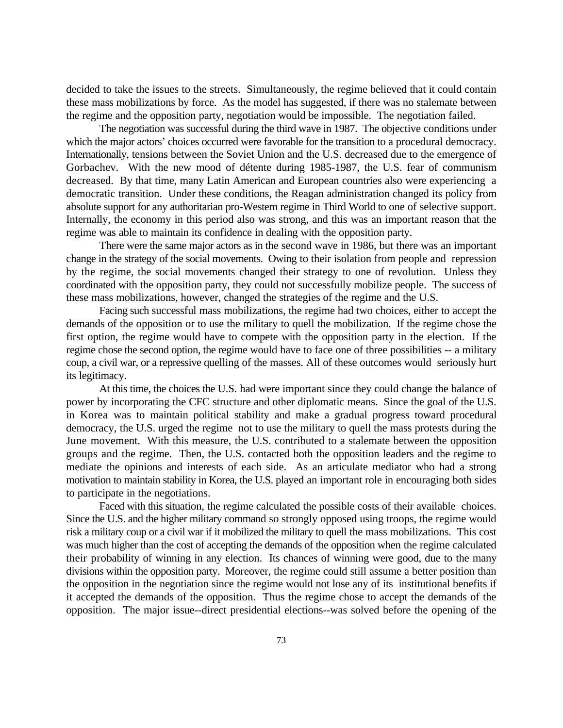decided to take the issues to the streets. Simultaneously, the regime believed that it could contain these mass mobilizations by force. As the model has suggested, if there was no stalemate between the regime and the opposition party, negotiation would be impossible. The negotiation failed.

The negotiation was successful during the third wave in 1987. The objective conditions under which the major actors' choices occurred were favorable for the transition to a procedural democracy. Internationally, tensions between the Soviet Union and the U.S. decreased due to the emergence of Gorbachev. With the new mood of détente during 1985-1987, the U.S. fear of communism decreased. By that time, many Latin American and European countries also were experiencing a democratic transition. Under these conditions, the Reagan administration changed its policy from absolute support for any authoritarian pro-Western regime in Third World to one of selective support. Internally, the economy in this period also was strong, and this was an important reason that the regime was able to maintain its confidence in dealing with the opposition party.

There were the same major actors as in the second wave in 1986, but there was an important change in the strategy of the social movements. Owing to their isolation from people and repression by the regime, the social movements changed their strategy to one of revolution. Unless they coordinated with the opposition party, they could not successfully mobilize people. The success of these mass mobilizations, however, changed the strategies of the regime and the U.S.

Facing such successful mass mobilizations, the regime had two choices, either to accept the demands of the opposition or to use the military to quell the mobilization. If the regime chose the first option, the regime would have to compete with the opposition party in the election. If the regime chose the second option, the regime would have to face one of three possibilities -- a military coup, a civil war, or a repressive quelling of the masses. All of these outcomes would seriously hurt its legitimacy.

At this time, the choices the U.S. had were important since they could change the balance of power by incorporating the CFC structure and other diplomatic means. Since the goal of the U.S. in Korea was to maintain political stability and make a gradual progress toward procedural democracy, the U.S. urged the regime not to use the military to quell the mass protests during the June movement. With this measure, the U.S. contributed to a stalemate between the opposition groups and the regime. Then, the U.S. contacted both the opposition leaders and the regime to mediate the opinions and interests of each side. As an articulate mediator who had a strong motivation to maintain stability in Korea, the U.S. played an important role in encouraging both sides to participate in the negotiations.

Faced with this situation, the regime calculated the possible costs of their available choices. Since the U.S. and the higher military command so strongly opposed using troops, the regime would risk a military coup or a civil war if it mobilized the military to quell the mass mobilizations. This cost was much higher than the cost of accepting the demands of the opposition when the regime calculated their probability of winning in any election. Its chances of winning were good, due to the many divisions within the opposition party. Moreover, the regime could still assume a better position than the opposition in the negotiation since the regime would not lose any of its institutional benefits if it accepted the demands of the opposition. Thus the regime chose to accept the demands of the opposition. The major issue--direct presidential elections--was solved before the opening of the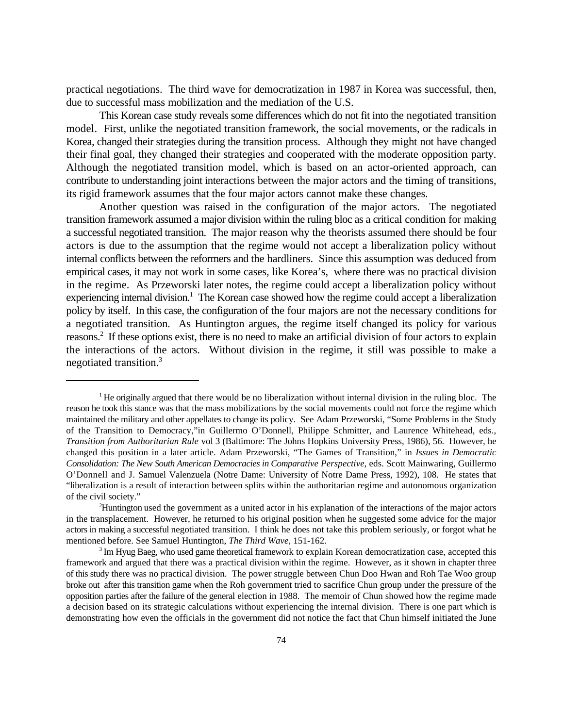practical negotiations. The third wave for democratization in 1987 in Korea was successful, then, due to successful mass mobilization and the mediation of the U.S.

This Korean case study reveals some differences which do not fit into the negotiated transition model. First, unlike the negotiated transition framework, the social movements, or the radicals in Korea, changed their strategies during the transition process. Although they might not have changed their final goal, they changed their strategies and cooperated with the moderate opposition party. Although the negotiated transition model, which is based on an actor-oriented approach, can contribute to understanding joint interactions between the major actors and the timing of transitions, its rigid framework assumes that the four major actors cannot make these changes.

Another question was raised in the configuration of the major actors. The negotiated transition framework assumed a major division within the ruling bloc as a critical condition for making a successful negotiated transition. The major reason why the theorists assumed there should be four actors is due to the assumption that the regime would not accept a liberalization policy without internal conflicts between the reformers and the hardliners. Since this assumption was deduced from empirical cases, it may not work in some cases, like Korea's, where there was no practical division in the regime. As Przeworski later notes, the regime could accept a liberalization policy without experiencing internal division.<sup>1</sup> The Korean case showed how the regime could accept a liberalization policy by itself. In this case, the configuration of the four majors are not the necessary conditions for a negotiated transition. As Huntington argues, the regime itself changed its policy for various reasons.<sup>2</sup> If these options exist, there is no need to make an artificial division of four actors to explain the interactions of the actors. Without division in the regime, it still was possible to make a negotiated transition.3

 $\rm{^1He}$  originally argued that there would be no liberalization without internal division in the ruling bloc. The reason he took this stance was that the mass mobilizations by the social movements could not force the regime which maintained the military and other appellates to change its policy. See Adam Przeworski, "Some Problems in the Study of the Transition to Democracy,"in Guillermo O'Donnell, Philippe Schmitter, and Laurence Whitehead, eds., *Transition from Authoritarian Rule* vol 3 (Baltimore: The Johns Hopkins University Press, 1986), 56. However, he changed this position in a later article. Adam Przeworski, "The Games of Transition," in *Issues in Democratic Consolidation: The New South American Democracies in Comparative Perspective*, eds. Scott Mainwaring, Guillermo O'Donnell and J. Samuel Valenzuela (Notre Dame: University of Notre Dame Press, 1992), 108. He states that "liberalization is a result of interaction between splits within the authoritarian regime and autonomous organization of the civil society."

<sup>&</sup>lt;sup>2</sup>Huntington used the government as a united actor in his explanation of the interactions of the major actors in the transplacement. However, he returned to his original position when he suggested some advice for the major actors in making a successful negotiated transition. I think he does not take this problem seriously, or forgot what he mentioned before. See Samuel Huntington, *The Third Wave*, 151-162.

 $3 \text{Im}$  Hyug Baeg, who used game theoretical framework to explain Korean democratization case, accepted this framework and argued that there was a practical division within the regime. However, as it shown in chapter three of this study there was no practical division. The power struggle between Chun Doo Hwan and Roh Tae Woo group broke out after this transition game when the Roh government tried to sacrifice Chun group under the pressure of the opposition parties after the failure of the general election in 1988. The memoir of Chun showed how the regime made a decision based on its strategic calculations without experiencing the internal division. There is one part which is demonstrating how even the officials in the government did not notice the fact that Chun himself initiated the June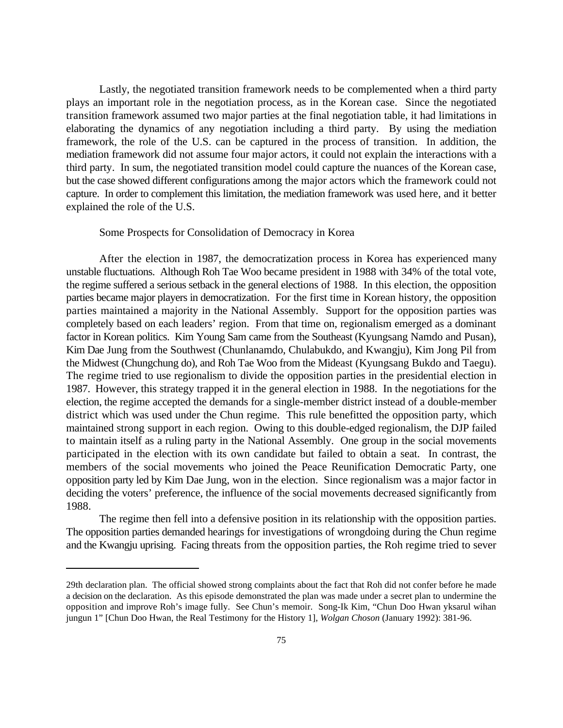Lastly, the negotiated transition framework needs to be complemented when a third party plays an important role in the negotiation process, as in the Korean case. Since the negotiated transition framework assumed two major parties at the final negotiation table, it had limitations in elaborating the dynamics of any negotiation including a third party. By using the mediation framework, the role of the U.S. can be captured in the process of transition. In addition, the mediation framework did not assume four major actors, it could not explain the interactions with a third party. In sum, the negotiated transition model could capture the nuances of the Korean case, but the case showed different configurations among the major actors which the framework could not capture. In order to complement this limitation, the mediation framework was used here, and it better explained the role of the U.S.

## Some Prospects for Consolidation of Democracy in Korea

After the election in 1987, the democratization process in Korea has experienced many unstable fluctuations. Although Roh Tae Woo became president in 1988 with 34% of the total vote, the regime suffered a serious setback in the general elections of 1988. In this election, the opposition parties became major players in democratization. For the first time in Korean history, the opposition parties maintained a majority in the National Assembly. Support for the opposition parties was completely based on each leaders' region. From that time on, regionalism emerged as a dominant factor in Korean politics. Kim Young Sam came from the Southeast (Kyungsang Namdo and Pusan), Kim Dae Jung from the Southwest (Chunlanamdo, Chulabukdo, and Kwangju), Kim Jong Pil from the Midwest (Chungchung do), and Roh Tae Woo from the Mideast (Kyungsang Bukdo and Taegu). The regime tried to use regionalism to divide the opposition parties in the presidential election in 1987. However, this strategy trapped it in the general election in 1988. In the negotiations for the election, the regime accepted the demands for a single-member district instead of a double-member district which was used under the Chun regime. This rule benefitted the opposition party, which maintained strong support in each region. Owing to this double-edged regionalism, the DJP failed to maintain itself as a ruling party in the National Assembly. One group in the social movements participated in the election with its own candidate but failed to obtain a seat. In contrast, the members of the social movements who joined the Peace Reunification Democratic Party, one opposition party led by Kim Dae Jung, won in the election. Since regionalism was a major factor in deciding the voters' preference, the influence of the social movements decreased significantly from 1988.

The regime then fell into a defensive position in its relationship with the opposition parties. The opposition parties demanded hearings for investigations of wrongdoing during the Chun regime and the Kwangju uprising. Facing threats from the opposition parties, the Roh regime tried to sever

<sup>29</sup>th declaration plan. The official showed strong complaints about the fact that Roh did not confer before he made a decision on the declaration. As this episode demonstrated the plan was made under a secret plan to undermine the opposition and improve Roh's image fully. See Chun's memoir. Song-Ik Kim, "Chun Doo Hwan yksarul wihan jungun 1" [Chun Doo Hwan, the Real Testimony for the History 1], *Wolgan Choson* (January 1992): 381-96.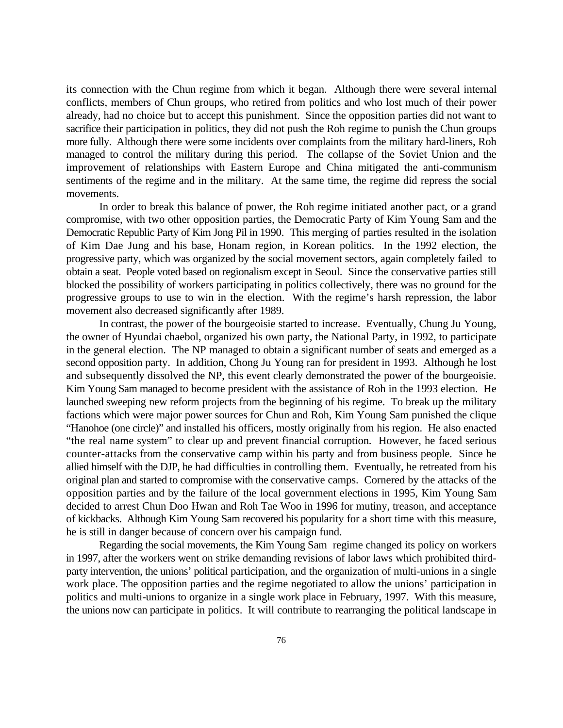its connection with the Chun regime from which it began. Although there were several internal conflicts, members of Chun groups, who retired from politics and who lost much of their power already, had no choice but to accept this punishment. Since the opposition parties did not want to sacrifice their participation in politics, they did not push the Roh regime to punish the Chun groups more fully. Although there were some incidents over complaints from the military hard-liners, Roh managed to control the military during this period. The collapse of the Soviet Union and the improvement of relationships with Eastern Europe and China mitigated the anti-communism sentiments of the regime and in the military. At the same time, the regime did repress the social movements.

In order to break this balance of power, the Roh regime initiated another pact, or a grand compromise, with two other opposition parties, the Democratic Party of Kim Young Sam and the Democratic Republic Party of Kim Jong Pil in 1990. This merging of parties resulted in the isolation of Kim Dae Jung and his base, Honam region, in Korean politics. In the 1992 election, the progressive party, which was organized by the social movement sectors, again completely failed to obtain a seat. People voted based on regionalism except in Seoul. Since the conservative parties still blocked the possibility of workers participating in politics collectively, there was no ground for the progressive groups to use to win in the election. With the regime's harsh repression, the labor movement also decreased significantly after 1989.

In contrast, the power of the bourgeoisie started to increase. Eventually, Chung Ju Young, the owner of Hyundai chaebol, organized his own party, the National Party, in 1992, to participate in the general election. The NP managed to obtain a significant number of seats and emerged as a second opposition party. In addition, Chong Ju Young ran for president in 1993. Although he lost and subsequently dissolved the NP, this event clearly demonstrated the power of the bourgeoisie. Kim Young Sam managed to become president with the assistance of Roh in the 1993 election. He launched sweeping new reform projects from the beginning of his regime. To break up the military factions which were major power sources for Chun and Roh, Kim Young Sam punished the clique "Hanohoe (one circle)" and installed his officers, mostly originally from his region. He also enacted "the real name system" to clear up and prevent financial corruption. However, he faced serious counter-attacks from the conservative camp within his party and from business people. Since he allied himself with the DJP, he had difficulties in controlling them. Eventually, he retreated from his original plan and started to compromise with the conservative camps. Cornered by the attacks of the opposition parties and by the failure of the local government elections in 1995, Kim Young Sam decided to arrest Chun Doo Hwan and Roh Tae Woo in 1996 for mutiny, treason, and acceptance of kickbacks. Although Kim Young Sam recovered his popularity for a short time with this measure, he is still in danger because of concern over his campaign fund.

Regarding the social movements, the Kim Young Sam regime changed its policy on workers in 1997, after the workers went on strike demanding revisions of labor laws which prohibited thirdparty intervention, the unions' political participation, and the organization of multi-unions in a single work place. The opposition parties and the regime negotiated to allow the unions' participation in politics and multi-unions to organize in a single work place in February, 1997. With this measure, the unions now can participate in politics. It will contribute to rearranging the political landscape in